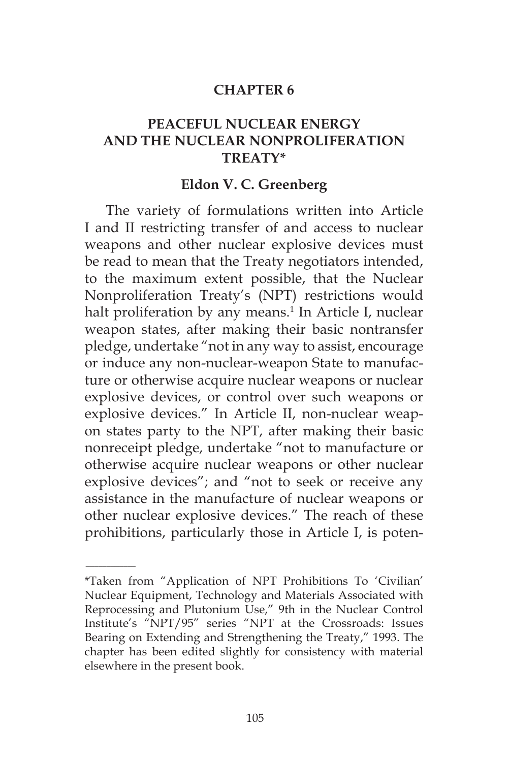#### **CHAPTER 6**

## **PEACEFUL NUCLEAR ENERGY AND THE NUCLEAR NONPROLIFERATION TREATY\***

#### **Eldon V. C. Greenberg**

The variety of formulations written into Article I and II restricting transfer of and access to nuclear weapons and other nuclear explosive devices must be read to mean that the Treaty negotiators intended, to the maximum extent possible, that the Nuclear Nonproliferation Treaty's (NPT) restrictions would halt proliferation by any means.<sup>1</sup> In Article I, nuclear weapon states, after making their basic nontransfer pledge, undertake "not in any way to assist, encourage or induce any non-nuclear-weapon State to manufacture or otherwise acquire nuclear weapons or nuclear explosive devices, or control over such weapons or explosive devices." In Article II, non-nuclear weapon states party to the NPT, after making their basic nonreceipt pledge, undertake "not to manufacture or otherwise acquire nuclear weapons or other nuclear explosive devices"; and "not to seek or receive any assistance in the manufacture of nuclear weapons or other nuclear explosive devices." The reach of these prohibitions, particularly those in Article I, is poten-

 $\overline{\phantom{a}}$ 

<sup>\*</sup>Taken from "Application of NPT Prohibitions To 'Civilian' Nuclear Equipment, Technology and Materials Associated with Reprocessing and Plutonium Use," 9th in the Nuclear Control Institute's "NPT/95" series "NPT at the Crossroads: Issues Bearing on Extending and Strengthening the Treaty," 1993. The chapter has been edited slightly for consistency with material elsewhere in the present book.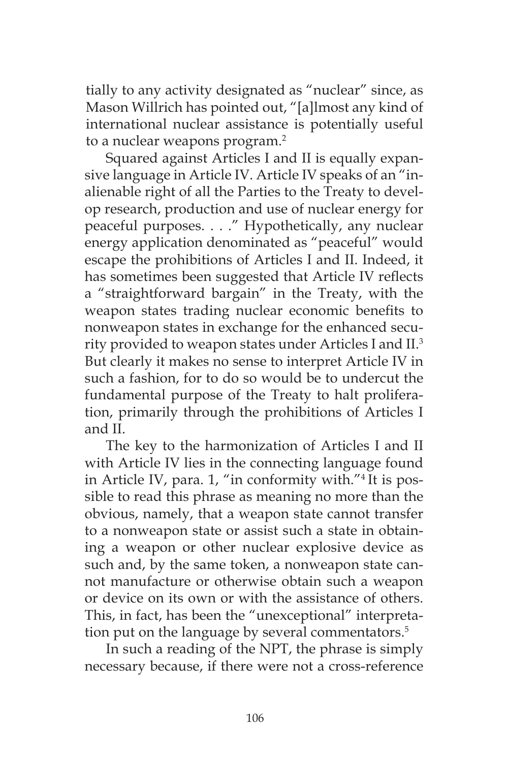tially to any activity designated as "nuclear" since, as Mason Willrich has pointed out, "[a]lmost any kind of international nuclear assistance is potentially useful to a nuclear weapons program.<sup>2</sup>

Squared against Articles I and II is equally expansive language in Article IV. Article IV speaks of an "inalienable right of all the Parties to the Treaty to develop research, production and use of nuclear energy for peaceful purposes. . . ." Hypothetically, any nuclear energy application denominated as "peaceful" would escape the prohibitions of Articles I and II. Indeed, it has sometimes been suggested that Article IV reflects a "straightforward bargain" in the Treaty, with the weapon states trading nuclear economic benefits to nonweapon states in exchange for the enhanced security provided to weapon states under Articles I and II.3 But clearly it makes no sense to interpret Article IV in such a fashion, for to do so would be to undercut the fundamental purpose of the Treaty to halt proliferation, primarily through the prohibitions of Articles I and II.

The key to the harmonization of Articles I and II with Article IV lies in the connecting language found in Article IV, para. 1, "in conformity with."4 It is possible to read this phrase as meaning no more than the obvious, namely, that a weapon state cannot transfer to a nonweapon state or assist such a state in obtaining a weapon or other nuclear explosive device as such and, by the same token, a nonweapon state cannot manufacture or otherwise obtain such a weapon or device on its own or with the assistance of others. This, in fact, has been the "unexceptional" interpretation put on the language by several commentators.<sup>5</sup>

In such a reading of the NPT, the phrase is simply necessary because, if there were not a cross-reference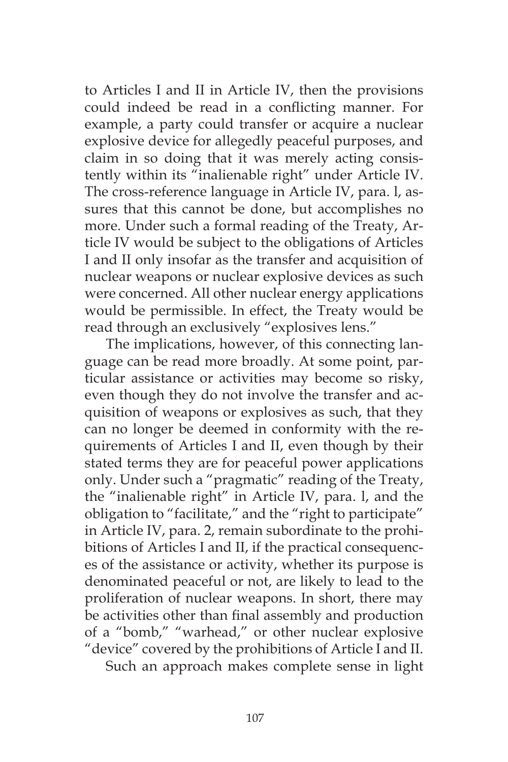to Articles I and II in Article IV, then the provisions could indeed be read in a conflicting manner. For example, a party could transfer or acquire a nuclear explosive device for allegedly peaceful purposes, and claim in so doing that it was merely acting consistently within its "inalienable right" under Article IV. The cross-reference language in Article IV, para. l, assures that this cannot be done, but accomplishes no more. Under such a formal reading of the Treaty, Article IV would be subject to the obligations of Articles I and II only insofar as the transfer and acquisition of nuclear weapons or nuclear explosive devices as such were concerned. All other nuclear energy applications would be permissible. In effect, the Treaty would be read through an exclusively "explosives lens."

The implications, however, of this connecting language can be read more broadly. At some point, particular assistance or activities may become so risky, even though they do not involve the transfer and acquisition of weapons or explosives as such, that they can no longer be deemed in conformity with the requirements of Articles I and II, even though by their stated terms they are for peaceful power applications only. Under such a "pragmatic" reading of the Treaty, the "inalienable right" in Article IV, para. l, and the obligation to "facilitate," and the "right to participate" in Article IV, para. 2, remain subordinate to the prohibitions of Articles I and II, if the practical consequences of the assistance or activity, whether its purpose is denominated peaceful or not, are likely to lead to the proliferation of nuclear weapons. In short, there may be activities other than final assembly and production of a "bomb," "warhead," or other nuclear explosive "device" covered by the prohibitions of Article I and II.

Such an approach makes complete sense in light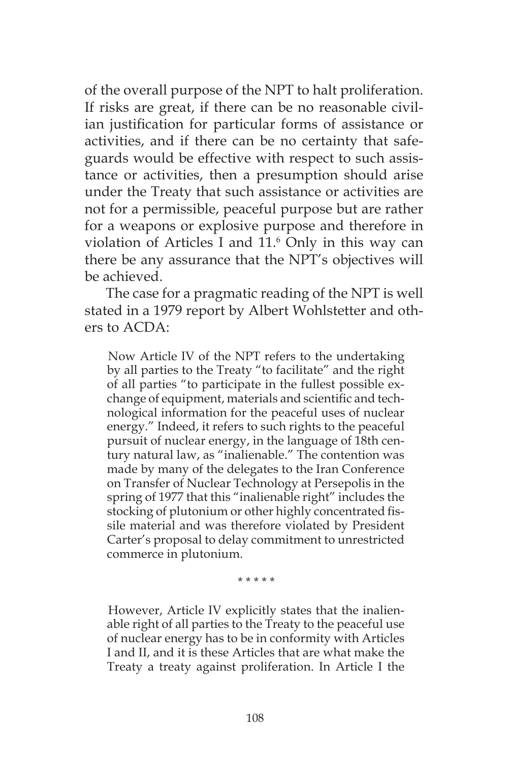of the overall purpose of the NPT to halt proliferation. If risks are great, if there can be no reasonable civilian justification for particular forms of assistance or activities, and if there can be no certainty that safeguards would be effective with respect to such assistance or activities, then a presumption should arise under the Treaty that such assistance or activities are not for a permissible, peaceful purpose but are rather for a weapons or explosive purpose and therefore in violation of Articles I and 11.<sup>6</sup> Only in this way can there be any assurance that the NPT's objectives will be achieved.

The case for a pragmatic reading of the NPT is well stated in a 1979 report by Albert Wohlstetter and others to  $ACDA$ .

Now Article IV of the NPT refers to the undertaking by all parties to the Treaty "to facilitate" and the right of all parties "to participate in the fullest possible exchange of equipment, materials and scientific and technological information for the peaceful uses of nuclear energy." Indeed, it refers to such rights to the peaceful pursuit of nuclear energy, in the language of 18th century natural law, as "inalienable." The contention was made by many of the delegates to the Iran Conference on Transfer of Nuclear Technology at Persepolis in the spring of 1977 that this "inalienable right" includes the stocking of plutonium or other highly concentrated fissile material and was therefore violated by President Carter's proposal to delay commitment to unrestricted commerce in plutonium.

\* \* \* \* \*

However, Article IV explicitly states that the inalienable right of all parties to the Treaty to the peaceful use of nuclear energy has to be in conformity with Articles I and II, and it is these Articles that are what make the Treaty a treaty against proliferation. In Article I the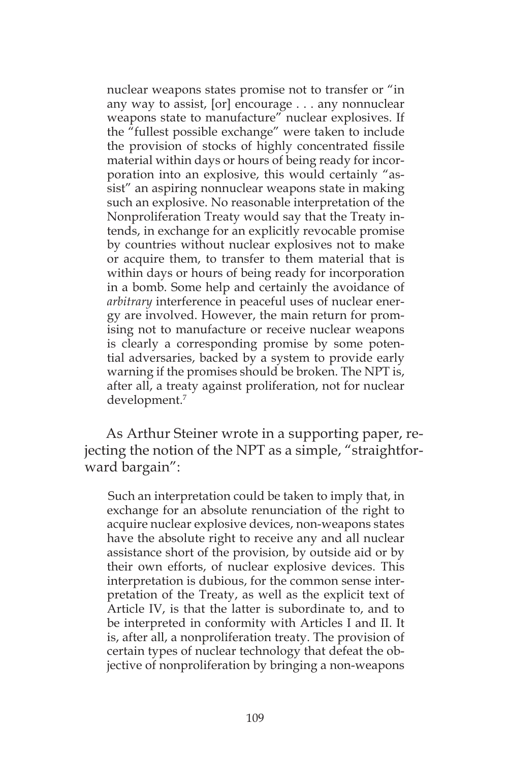nuclear weapons states promise not to transfer or "in any way to assist, [or] encourage . . . any nonnuclear weapons state to manufacture" nuclear explosives. If the "fullest possible exchange" were taken to include the provision of stocks of highly concentrated fissile material within days or hours of being ready for incorporation into an explosive, this would certainly "assist" an aspiring nonnuclear weapons state in making such an explosive. No reasonable interpretation of the Nonproliferation Treaty would say that the Treaty intends, in exchange for an explicitly revocable promise by countries without nuclear explosives not to make or acquire them, to transfer to them material that is within days or hours of being ready for incorporation in a bomb. Some help and certainly the avoidance of *arbitrary* interference in peaceful uses of nuclear energy are involved. However, the main return for promising not to manufacture or receive nuclear weapons is clearly a corresponding promise by some potential adversaries, backed by a system to provide early warning if the promises should be broken. The NPT is, after all, a treaty against proliferation, not for nuclear development.7

As Arthur Steiner wrote in a supporting paper, rejecting the notion of the NPT as a simple, "straightforward bargain":

Such an interpretation could be taken to imply that, in exchange for an absolute renunciation of the right to acquire nuclear explosive devices, non-weapons states have the absolute right to receive any and all nuclear assistance short of the provision, by outside aid or by their own efforts, of nuclear explosive devices. This interpretation is dubious, for the common sense interpretation of the Treaty, as well as the explicit text of Article IV, is that the latter is subordinate to, and to be interpreted in conformity with Articles I and II. It is, after all, a nonproliferation treaty. The provision of certain types of nuclear technology that defeat the objective of nonproliferation by bringing a non-weapons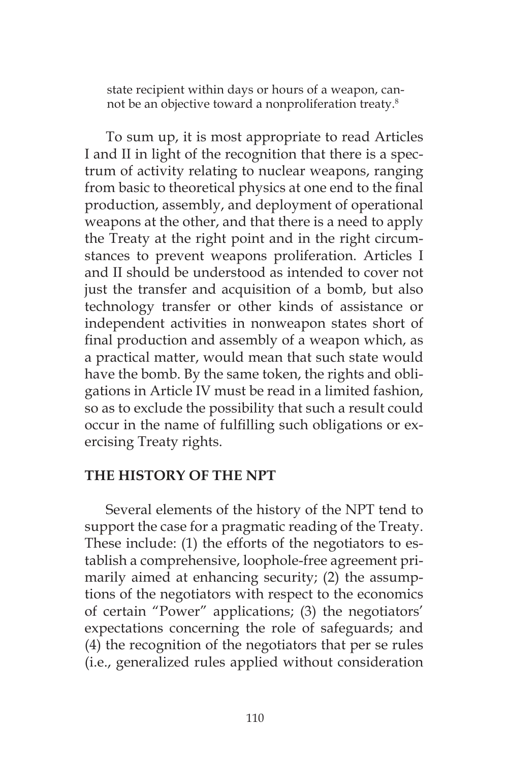state recipient within days or hours of a weapon, cannot be an objective toward a nonproliferation treaty.8

To sum up, it is most appropriate to read Articles I and II in light of the recognition that there is a spectrum of activity relating to nuclear weapons, ranging from basic to theoretical physics at one end to the final production, assembly, and deployment of operational weapons at the other, and that there is a need to apply the Treaty at the right point and in the right circumstances to prevent weapons proliferation. Articles I and II should be understood as intended to cover not just the transfer and acquisition of a bomb, but also technology transfer or other kinds of assistance or independent activities in nonweapon states short of final production and assembly of a weapon which, as a practical matter, would mean that such state would have the bomb. By the same token, the rights and obligations in Article IV must be read in a limited fashion, so as to exclude the possibility that such a result could occur in the name of fulfilling such obligations or exercising Treaty rights.

## **THE HISTORY OF THE NPT**

Several elements of the history of the NPT tend to support the case for a pragmatic reading of the Treaty. These include: (1) the efforts of the negotiators to establish a comprehensive, loophole-free agreement primarily aimed at enhancing security; (2) the assumptions of the negotiators with respect to the economics of certain "Power" applications; (3) the negotiators' expectations concerning the role of safeguards; and (4) the recognition of the negotiators that per se rules (i.e., generalized rules applied without consideration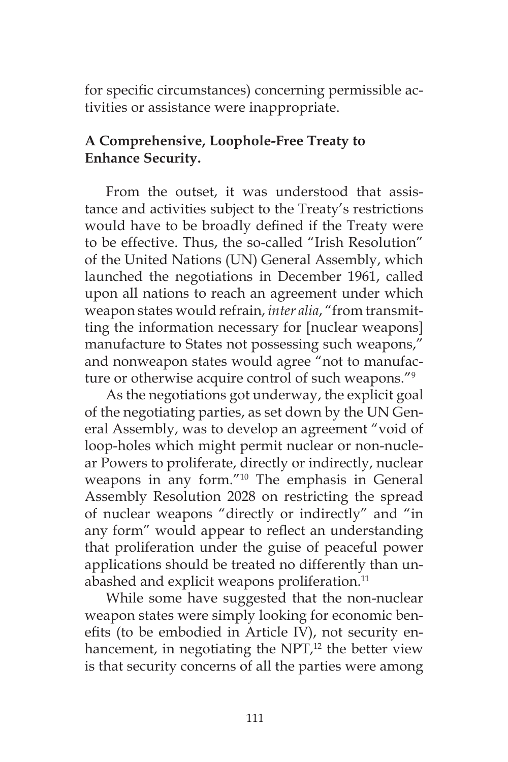for specific circumstances) concerning permissible activities or assistance were inappropriate.

# **A Comprehensive, Loophole-Free Treaty to Enhance Security.**

From the outset, it was understood that assistance and activities subject to the Treaty's restrictions would have to be broadly defined if the Treaty were to be effective. Thus, the so-called "Irish Resolution" of the United Nations (UN) General Assembly, which launched the negotiations in December 1961, called upon all nations to reach an agreement under which weapon states would refrain, *inter alia*, "from transmitting the information necessary for [nuclear weapons] manufacture to States not possessing such weapons," and nonweapon states would agree "not to manufacture or otherwise acquire control of such weapons."9

As the negotiations got underway, the explicit goal of the negotiating parties, as set down by the UN General Assembly, was to develop an agreement "void of loop-holes which might permit nuclear or non-nuclear Powers to proliferate, directly or indirectly, nuclear weapons in any form."10 The emphasis in General Assembly Resolution 2028 on restricting the spread of nuclear weapons "directly or indirectly" and "in any form" would appear to reflect an understanding that proliferation under the guise of peaceful power applications should be treated no differently than unabashed and explicit weapons proliferation.<sup>11</sup>

While some have suggested that the non-nuclear weapon states were simply looking for economic benefits (to be embodied in Article IV), not security enhancement, in negotiating the  $NPT<sub>12</sub>$  the better view is that security concerns of all the parties were among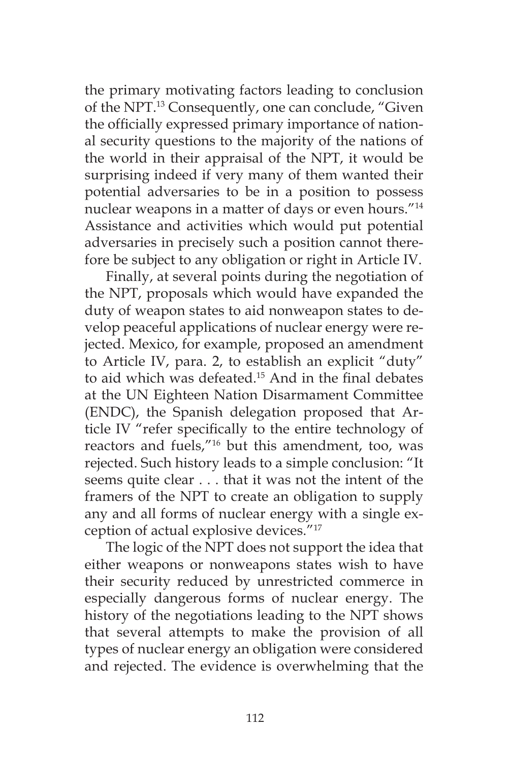the primary motivating factors leading to conclusion of the NPT.13 Consequently, one can conclude, "Given the officially expressed primary importance of national security questions to the majority of the nations of the world in their appraisal of the NPT, it would be surprising indeed if very many of them wanted their potential adversaries to be in a position to possess nuclear weapons in a matter of days or even hours."14 Assistance and activities which would put potential adversaries in precisely such a position cannot therefore be subject to any obligation or right in Article IV.

Finally, at several points during the negotiation of the NPT, proposals which would have expanded the duty of weapon states to aid nonweapon states to develop peaceful applications of nuclear energy were rejected. Mexico, for example, proposed an amendment to Article IV, para. 2, to establish an explicit "duty" to aid which was defeated.<sup>15</sup> And in the final debates at the UN Eighteen Nation Disarmament Committee (ENDC), the Spanish delegation proposed that Article IV "refer specifically to the entire technology of reactors and fuels,"16 but this amendment, too, was rejected. Such history leads to a simple conclusion: "It seems quite clear . . . that it was not the intent of the framers of the NPT to create an obligation to supply any and all forms of nuclear energy with a single exception of actual explosive devices."17

The logic of the NPT does not support the idea that either weapons or nonweapons states wish to have their security reduced by unrestricted commerce in especially dangerous forms of nuclear energy. The history of the negotiations leading to the NPT shows that several attempts to make the provision of all types of nuclear energy an obligation were considered and rejected. The evidence is overwhelming that the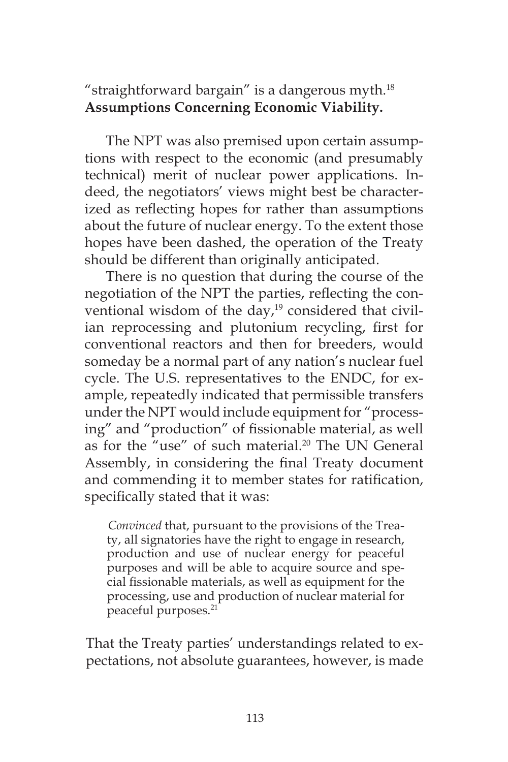"straightforward bargain" is a dangerous myth. $18$ **Assumptions Concerning Economic Viability.**

The NPT was also premised upon certain assumptions with respect to the economic (and presumably technical) merit of nuclear power applications. Indeed, the negotiators' views might best be characterized as reflecting hopes for rather than assumptions about the future of nuclear energy. To the extent those hopes have been dashed, the operation of the Treaty should be different than originally anticipated.

There is no question that during the course of the negotiation of the NPT the parties, reflecting the conventional wisdom of the day, $19$  considered that civilian reprocessing and plutonium recycling, first for conventional reactors and then for breeders, would someday be a normal part of any nation's nuclear fuel cycle. The U.S. representatives to the ENDC, for example, repeatedly indicated that permissible transfers under the NPT would include equipment for "processing" and "production" of fissionable material, as well as for the "use" of such material.<sup>20</sup> The UN General Assembly, in considering the final Treaty document and commending it to member states for ratification, specifically stated that it was:

*Convinced* that, pursuant to the provisions of the Treaty, all signatories have the right to engage in research, production and use of nuclear energy for peaceful purposes and will be able to acquire source and special fissionable materials, as well as equipment for the processing, use and production of nuclear material for peaceful purposes.21

That the Treaty parties' understandings related to expectations, not absolute guarantees, however, is made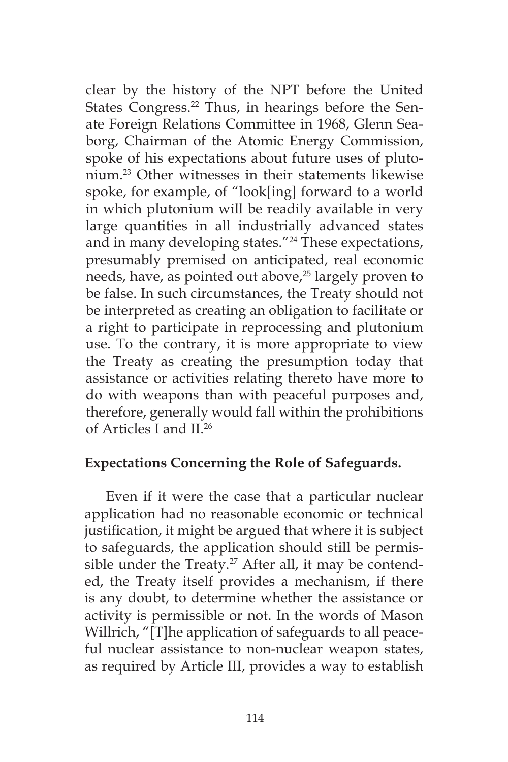clear by the history of the NPT before the United States Congress.<sup>22</sup> Thus, in hearings before the Senate Foreign Relations Committee in 1968, Glenn Seaborg, Chairman of the Atomic Energy Commission, spoke of his expectations about future uses of plutonium.23 Other witnesses in their statements likewise spoke, for example, of "look[ing] forward to a world in which plutonium will be readily available in very large quantities in all industrially advanced states and in many developing states."24 These expectations, presumably premised on anticipated, real economic needs, have, as pointed out above,<sup>25</sup> largely proven to be false. In such circumstances, the Treaty should not be interpreted as creating an obligation to facilitate or a right to participate in reprocessing and plutonium use. To the contrary, it is more appropriate to view the Treaty as creating the presumption today that assistance or activities relating thereto have more to do with weapons than with peaceful purposes and, therefore, generally would fall within the prohibitions of Articles I and II.26

## **Expectations Concerning the Role of Safeguards.**

Even if it were the case that a particular nuclear application had no reasonable economic or technical justification, it might be argued that where it is subject to safeguards, the application should still be permissible under the Treaty.<sup>27</sup> After all, it may be contended, the Treaty itself provides a mechanism, if there is any doubt, to determine whether the assistance or activity is permissible or not. In the words of Mason Willrich, "[T]he application of safeguards to all peaceful nuclear assistance to non-nuclear weapon states, as required by Article III, provides a way to establish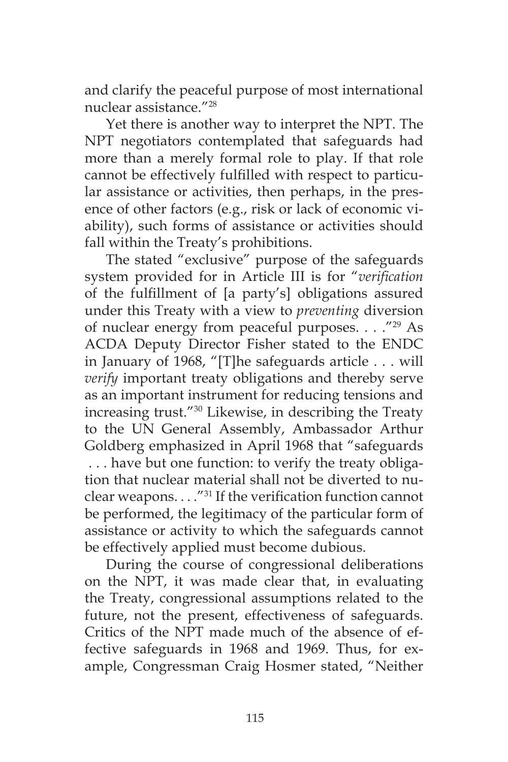and clarify the peaceful purpose of most international nuclear assistance."28

Yet there is another way to interpret the NPT. The NPT negotiators contemplated that safeguards had more than a merely formal role to play. If that role cannot be effectively fulfilled with respect to particular assistance or activities, then perhaps, in the presence of other factors (e.g., risk or lack of economic viability), such forms of assistance or activities should fall within the Treaty's prohibitions.

The stated "exclusive" purpose of the safeguards system provided for in Article III is for "*verification* of the fulfillment of [a party's] obligations assured under this Treaty with a view to *preventing* diversion of nuclear energy from peaceful purposes. . . ."29 As ACDA Deputy Director Fisher stated to the ENDC in January of 1968, "[T]he safeguards article . . . will *verify* important treaty obligations and thereby serve as an important instrument for reducing tensions and increasing trust."30 Likewise, in describing the Treaty to the UN General Assembly, Ambassador Arthur Goldberg emphasized in April 1968 that "safeguards . . . have but one function: to verify the treaty obligation that nuclear material shall not be diverted to nuclear weapons. . . ."31 If the verification function cannot be performed, the legitimacy of the particular form of assistance or activity to which the safeguards cannot be effectively applied must become dubious.

During the course of congressional deliberations on the NPT, it was made clear that, in evaluating the Treaty, congressional assumptions related to the future, not the present, effectiveness of safeguards. Critics of the NPT made much of the absence of effective safeguards in 1968 and 1969. Thus, for example, Congressman Craig Hosmer stated, "Neither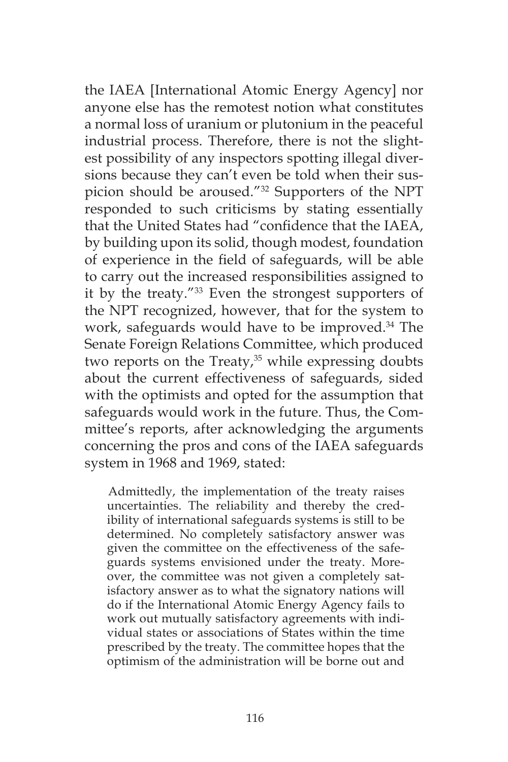the IAEA [International Atomic Energy Agency] nor anyone else has the remotest notion what constitutes a normal loss of uranium or plutonium in the peaceful industrial process. Therefore, there is not the slightest possibility of any inspectors spotting illegal diversions because they can't even be told when their suspicion should be aroused."32 Supporters of the NPT responded to such criticisms by stating essentially that the United States had "confidence that the IAEA, by building upon its solid, though modest, foundation of experience in the field of safeguards, will be able to carry out the increased responsibilities assigned to it by the treaty."33 Even the strongest supporters of the NPT recognized, however, that for the system to work, safeguards would have to be improved.<sup>34</sup> The Senate Foreign Relations Committee, which produced two reports on the Treaty, $35$  while expressing doubts about the current effectiveness of safeguards, sided with the optimists and opted for the assumption that safeguards would work in the future. Thus, the Committee's reports, after acknowledging the arguments concerning the pros and cons of the IAEA safeguards system in 1968 and 1969, stated:

Admittedly, the implementation of the treaty raises uncertainties. The reliability and thereby the credibility of international safeguards systems is still to be determined. No completely satisfactory answer was given the committee on the effectiveness of the safeguards systems envisioned under the treaty. Moreover, the committee was not given a completely satisfactory answer as to what the signatory nations will do if the International Atomic Energy Agency fails to work out mutually satisfactory agreements with individual states or associations of States within the time prescribed by the treaty. The committee hopes that the optimism of the administration will be borne out and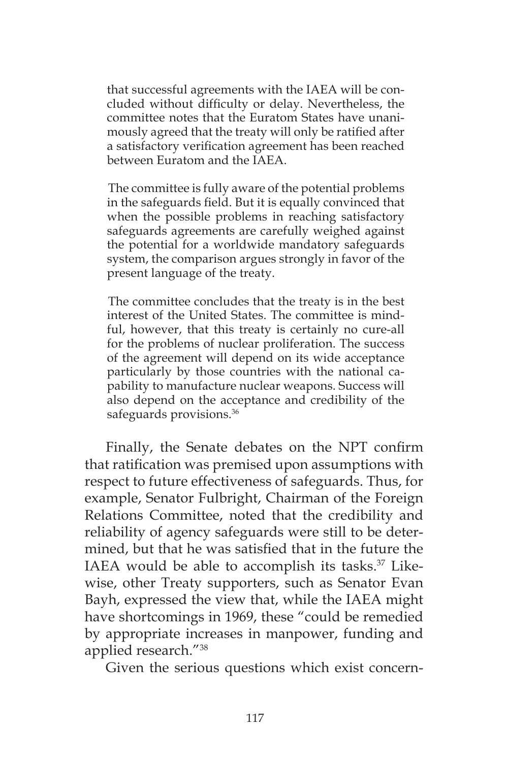that successful agreements with the IAEA will be concluded without difficulty or delay. Nevertheless, the committee notes that the Euratom States have unanimously agreed that the treaty will only be ratified after a satisfactory verification agreement has been reached between Euratom and the IAEA.

The committee is fully aware of the potential problems in the safeguards field. But it is equally convinced that when the possible problems in reaching satisfactory safeguards agreements are carefully weighed against the potential for a worldwide mandatory safeguards system, the comparison argues strongly in favor of the present language of the treaty.

The committee concludes that the treaty is in the best interest of the United States. The committee is mindful, however, that this treaty is certainly no cure-all for the problems of nuclear proliferation. The success of the agreement will depend on its wide acceptance particularly by those countries with the national capability to manufacture nuclear weapons. Success will also depend on the acceptance and credibility of the safeguards provisions.<sup>36</sup>

Finally, the Senate debates on the NPT confirm that ratification was premised upon assumptions with respect to future effectiveness of safeguards. Thus, for example, Senator Fulbright, Chairman of the Foreign Relations Committee, noted that the credibility and reliability of agency safeguards were still to be determined, but that he was satisfied that in the future the IAEA would be able to accomplish its tasks.<sup>37</sup> Likewise, other Treaty supporters, such as Senator Evan Bayh, expressed the view that, while the IAEA might have shortcomings in 1969, these "could be remedied by appropriate increases in manpower, funding and applied research."38

Given the serious questions which exist concern-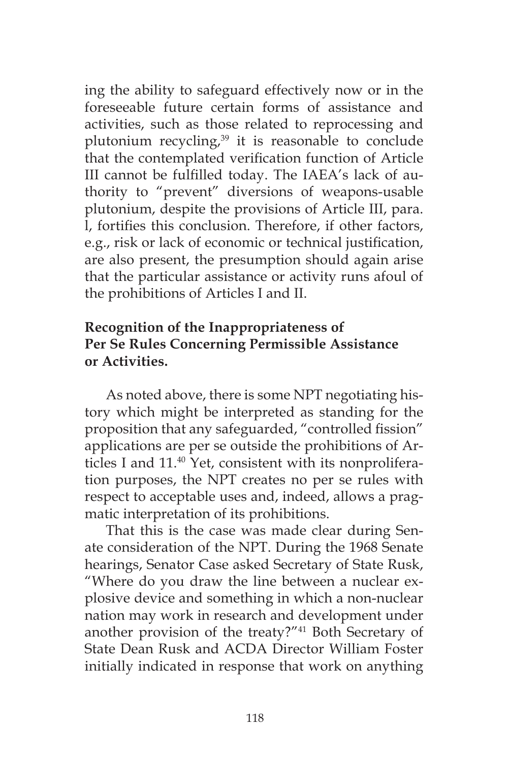ing the ability to safeguard effectively now or in the foreseeable future certain forms of assistance and activities, such as those related to reprocessing and plutonium recycling, $39$  it is reasonable to conclude that the contemplated verification function of Article III cannot be fulfilled today. The IAEA's lack of authority to "prevent" diversions of weapons-usable plutonium, despite the provisions of Article III, para. l, fortifies this conclusion. Therefore, if other factors, e.g., risk or lack of economic or technical justification, are also present, the presumption should again arise that the particular assistance or activity runs afoul of the prohibitions of Articles I and II.

# **Recognition of the Inappropriateness of Per Se Rules Concerning Permissible Assistance or Activities.**

As noted above, there is some NPT negotiating history which might be interpreted as standing for the proposition that any safeguarded, "controlled fission" applications are per se outside the prohibitions of Articles I and 11.<sup>40</sup> Yet, consistent with its nonproliferation purposes, the NPT creates no per se rules with respect to acceptable uses and, indeed, allows a pragmatic interpretation of its prohibitions.

That this is the case was made clear during Senate consideration of the NPT. During the 1968 Senate hearings, Senator Case asked Secretary of State Rusk, "Where do you draw the line between a nuclear explosive device and something in which a non-nuclear nation may work in research and development under another provision of the treaty?"41 Both Secretary of State Dean Rusk and ACDA Director William Foster initially indicated in response that work on anything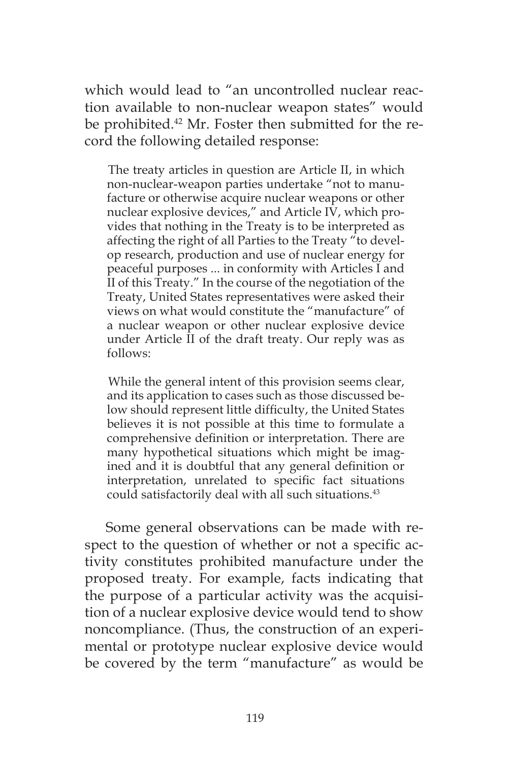which would lead to "an uncontrolled nuclear reaction available to non-nuclear weapon states" would be prohibited.<sup>42</sup> Mr. Foster then submitted for the record the following detailed response:

The treaty articles in question are Article II, in which non-nuclear-weapon parties undertake "not to manufacture or otherwise acquire nuclear weapons or other nuclear explosive devices," and Article IV, which provides that nothing in the Treaty is to be interpreted as affecting the right of all Parties to the Treaty "to develop research, production and use of nuclear energy for peaceful purposes ... in conformity with Articles I and II of this Treaty." In the course of the negotiation of the Treaty, United States representatives were asked their views on what would constitute the "manufacture" of a nuclear weapon or other nuclear explosive device under Article II of the draft treaty. Our reply was as follows:

While the general intent of this provision seems clear, and its application to cases such as those discussed below should represent little difficulty, the United States believes it is not possible at this time to formulate a comprehensive definition or interpretation. There are many hypothetical situations which might be imagined and it is doubtful that any general definition or interpretation, unrelated to specific fact situations could satisfactorily deal with all such situations.<sup>43</sup>

Some general observations can be made with respect to the question of whether or not a specific activity constitutes prohibited manufacture under the proposed treaty. For example, facts indicating that the purpose of a particular activity was the acquisition of a nuclear explosive device would tend to show noncompliance. (Thus, the construction of an experimental or prototype nuclear explosive device would be covered by the term "manufacture" as would be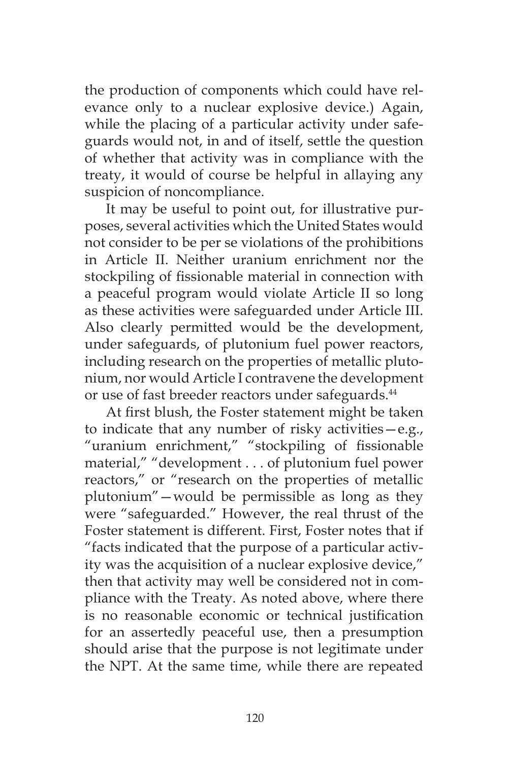the production of components which could have relevance only to a nuclear explosive device.) Again, while the placing of a particular activity under safeguards would not, in and of itself, settle the question of whether that activity was in compliance with the treaty, it would of course be helpful in allaying any suspicion of noncompliance.

It may be useful to point out, for illustrative purposes, several activities which the United States would not consider to be per se violations of the prohibitions in Article II. Neither uranium enrichment nor the stockpiling of fissionable material in connection with a peaceful program would violate Article II so long as these activities were safeguarded under Article III. Also clearly permitted would be the development, under safeguards, of plutonium fuel power reactors, including research on the properties of metallic plutonium, nor would Article I contravene the development or use of fast breeder reactors under safeguards.<sup>44</sup>

At first blush, the Foster statement might be taken to indicate that any number of risky activities—e.g., "uranium enrichment," "stockpiling of fissionable material," "development . . . of plutonium fuel power reactors," or "research on the properties of metallic plutonium"—would be permissible as long as they were "safeguarded." However, the real thrust of the Foster statement is different. First, Foster notes that if "facts indicated that the purpose of a particular activity was the acquisition of a nuclear explosive device," then that activity may well be considered not in compliance with the Treaty. As noted above, where there is no reasonable economic or technical justification for an assertedly peaceful use, then a presumption should arise that the purpose is not legitimate under the NPT. At the same time, while there are repeated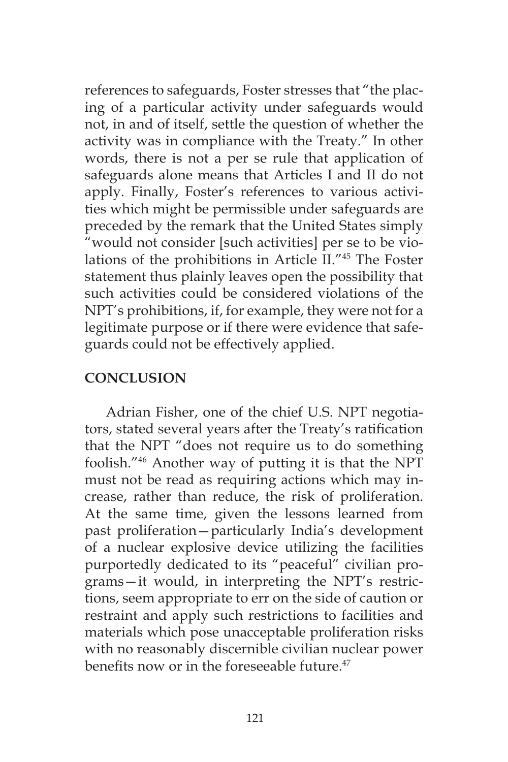references to safeguards, Foster stresses that "the placing of a particular activity under safeguards would not, in and of itself, settle the question of whether the activity was in compliance with the Treaty." In other words, there is not a per se rule that application of safeguards alone means that Articles I and II do not apply. Finally, Foster's references to various activities which might be permissible under safeguards are preceded by the remark that the United States simply "would not consider [such activities] per se to be violations of the prohibitions in Article II."45 The Foster statement thus plainly leaves open the possibility that such activities could be considered violations of the NPT's prohibitions, if, for example, they were not for a legitimate purpose or if there were evidence that safeguards could not be effectively applied.

# **CONCLUSION**

Adrian Fisher, one of the chief U.S. NPT negotiators, stated several years after the Treaty's ratification that the NPT "does not require us to do something foolish."46 Another way of putting it is that the NPT must not be read as requiring actions which may increase, rather than reduce, the risk of proliferation. At the same time, given the lessons learned from past proliferation—particularly India's development of a nuclear explosive device utilizing the facilities purportedly dedicated to its "peaceful" civilian programs—it would, in interpreting the NPT's restrictions, seem appropriate to err on the side of caution or restraint and apply such restrictions to facilities and materials which pose unacceptable proliferation risks with no reasonably discernible civilian nuclear power benefits now or in the foreseeable future.<sup>47</sup>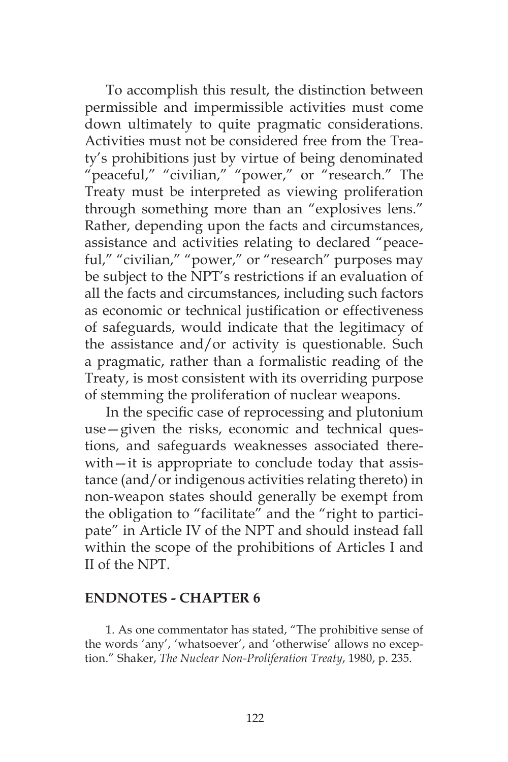To accomplish this result, the distinction between permissible and impermissible activities must come down ultimately to quite pragmatic considerations. Activities must not be considered free from the Treaty's prohibitions just by virtue of being denominated "peaceful," "civilian," "power," or "research." The Treaty must be interpreted as viewing proliferation through something more than an "explosives lens." Rather, depending upon the facts and circumstances, assistance and activities relating to declared "peaceful," "civilian," "power," or "research" purposes may be subject to the NPT's restrictions if an evaluation of all the facts and circumstances, including such factors as economic or technical justification or effectiveness of safeguards, would indicate that the legitimacy of the assistance and/or activity is questionable. Such a pragmatic, rather than a formalistic reading of the Treaty, is most consistent with its overriding purpose of stemming the proliferation of nuclear weapons.

In the specific case of reprocessing and plutonium use—given the risks, economic and technical questions, and safeguards weaknesses associated therewith—it is appropriate to conclude today that assistance (and/or indigenous activities relating thereto) in non-weapon states should generally be exempt from the obligation to "facilitate" and the "right to participate" in Article IV of the NPT and should instead fall within the scope of the prohibitions of Articles I and II of the NPT.

#### **ENDNOTES - CHAPTER 6**

1. As one commentator has stated, "The prohibitive sense of the words 'any', 'whatsoever', and 'otherwise' allows no exception." Shaker, *The Nuclear Non-Proliferation Treaty*, 1980, p. 235.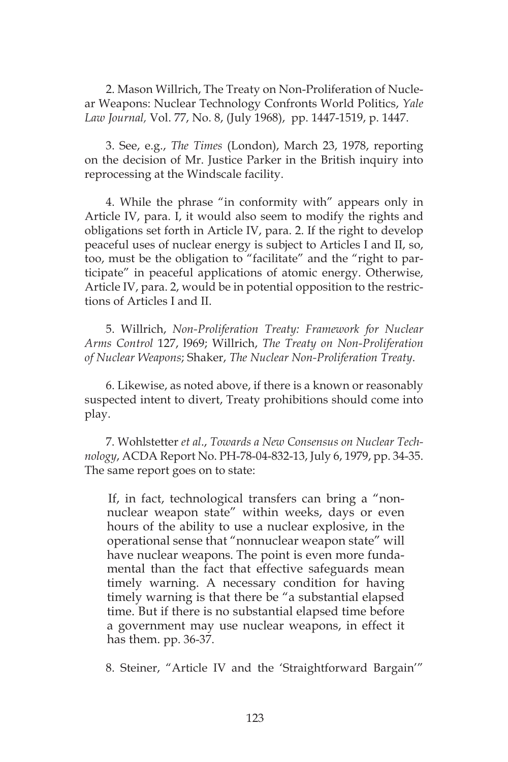2. Mason Willrich, The Treaty on Non-Proliferation of Nuclear Weapons: Nuclear Technology Confronts World Politics, *Yale Law Journal,* Vol. 77, No. 8, (July 1968), pp. 1447-1519, p. 1447.

3. See, e.g., *The Times* (London), March 23, 1978, reporting on the decision of Mr. Justice Parker in the British inquiry into reprocessing at the Windscale facility.

4. While the phrase "in conformity with" appears only in Article IV, para. I, it would also seem to modify the rights and obligations set forth in Article IV, para. 2. If the right to develop peaceful uses of nuclear energy is subject to Articles I and II, so, too, must be the obligation to "facilitate" and the "right to participate" in peaceful applications of atomic energy. Otherwise, Article IV, para. 2, would be in potential opposition to the restrictions of Articles I and II.

5. Willrich, *Non-Proliferation Treaty: Framework for Nuclear Arms Control* 127, l969; Willrich, *The Treaty on Non-Proliferation of Nuclear Weapons*; Shaker, *The Nuclear Non-Proliferation Treaty*.

6. Likewise, as noted above, if there is a known or reasonably suspected intent to divert, Treaty prohibitions should come into play.

7. Wohlstetter *et al*., *Towards a New Consensus on Nuclear Technology*, ACDA Report No. PH-78-04-832-13, July 6, 1979, pp. 34-35. The same report goes on to state:

If, in fact, technological transfers can bring a "nonnuclear weapon state" within weeks, days or even hours of the ability to use a nuclear explosive, in the operational sense that "nonnuclear weapon state" will have nuclear weapons. The point is even more fundamental than the fact that effective safeguards mean timely warning. A necessary condition for having timely warning is that there be "a substantial elapsed time. But if there is no substantial elapsed time before a government may use nuclear weapons, in effect it has them. pp. 36-37.

8. Steiner, "Article IV and the 'Straightforward Bargain'"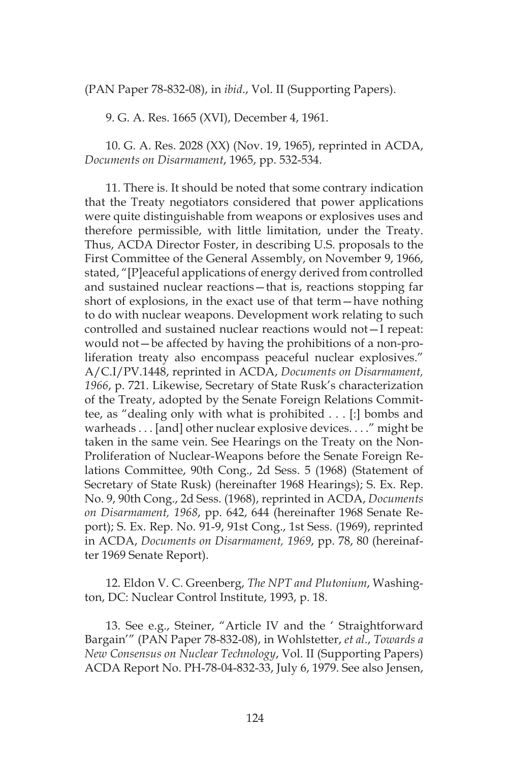(PAN Paper 78-832-08), in *ibid*., Vol. II (Supporting Papers).

9. G. A. Res. 1665 (XVI), December 4, 1961.

10. G. A. Res. 2028 (XX) (Nov. 19, 1965), reprinted in ACDA, *Documents on Disarmament*, 1965, pp. 532-534.

11. There is. It should be noted that some contrary indication that the Treaty negotiators considered that power applications were quite distinguishable from weapons or explosives uses and therefore permissible, with little limitation, under the Treaty. Thus, ACDA Director Foster, in describing U.S. proposals to the First Committee of the General Assembly, on November 9, 1966, stated, "[P]eaceful applications of energy derived from controlled and sustained nuclear reactions—that is, reactions stopping far short of explosions, in the exact use of that term—have nothing to do with nuclear weapons. Development work relating to such controlled and sustained nuclear reactions would not—I repeat: would not—be affected by having the prohibitions of a non-proliferation treaty also encompass peaceful nuclear explosives." A/C.I/PV.1448, reprinted in ACDA, *Documents on Disarmament, 1966*, p. 721. Likewise, Secretary of State Rusk's characterization of the Treaty, adopted by the Senate Foreign Relations Committee, as "dealing only with what is prohibited . . . [:] bombs and warheads . . . [and] other nuclear explosive devices. . . ." might be taken in the same vein. See Hearings on the Treaty on the Non-Proliferation of Nuclear-Weapons before the Senate Foreign Relations Committee, 90th Cong., 2d Sess. 5 (1968) (Statement of Secretary of State Rusk) (hereinafter 1968 Hearings); S. Ex. Rep. No. 9, 90th Cong., 2d Sess. (1968), reprinted in ACDA, *Documents on Disarmament, 1968*, pp. 642, 644 (hereinafter 1968 Senate Report); S. Ex. Rep. No. 91-9, 91st Cong., 1st Sess. (1969), reprinted in ACDA, *Documents on Disarmament, 1969*, pp. 78, 80 (hereinafter 1969 Senate Report).

12. Eldon V. C. Greenberg, *The NPT and Plutonium*, Washington, DC: Nuclear Control Institute, 1993, p. 18.

13. See e.g., Steiner, "Article IV and the ' Straightforward Bargain'" (PAN Paper 78-832-08), in Wohlstetter, *et al*., *Towards a New Consensus on Nuclear Technology*, Vol. II (Supporting Papers) ACDA Report No. PH-78-04-832-33, July 6, 1979. See also Jensen,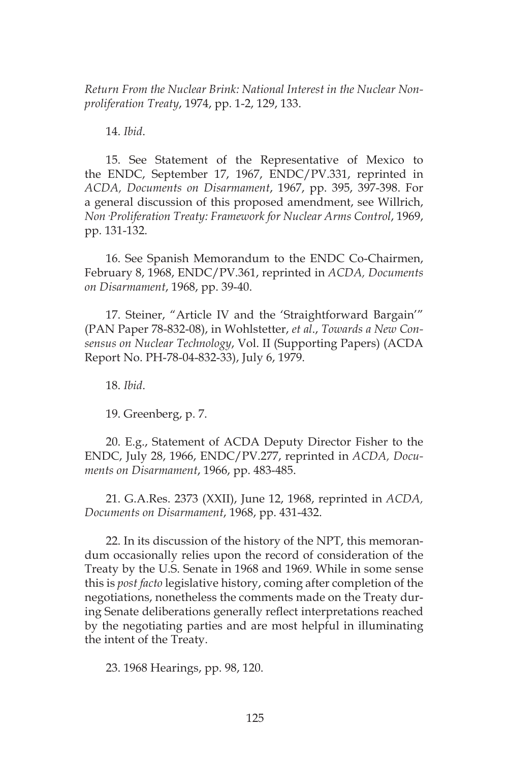*Return From the Nuclear Brink: National Interest in the Nuclear Nonproliferation Treaty*, 1974, pp. 1-2, 129, 133.

14. *Ibid*.

15. See Statement of the Representative of Mexico to the ENDC, September 17, 1967, ENDC/PV.331, reprinted in *ACDA, Documents on Disarmament*, 1967, pp. 395, 397-398. For a general discussion of this proposed amendment, see Willrich, *Non·Proliferation Treaty: Framework for Nuclear Arms Control*, 1969, pp. 131-132.

16. See Spanish Memorandum to the ENDC Co-Chairmen, February 8, 1968, ENDC/PV.361, reprinted in *ACDA, Documents on Disarmament*, 1968, pp. 39-40.

17. Steiner, "Article IV and the 'Straightforward Bargain'" (PAN Paper 78-832-08), in Wohlstetter, *et al*., *Towards a New Consensus on Nuclear Technology*, Vol. II (Supporting Papers) (ACDA Report No. PH-78-04-832-33), July 6, 1979.

18. *Ibid*.

19. Greenberg, p. 7.

20. E.g., Statement of ACDA Deputy Director Fisher to the ENDC, July 28, 1966, ENDC/PV.277, reprinted in *ACDA, Documents on Disarmament*, 1966, pp. 483-485.

21. G.A.Res. 2373 (XXII), June 12, 1968, reprinted in *ACDA, Documents on Disarmament*, 1968, pp. 431-432.

22. In its discussion of the history of the NPT, this memorandum occasionally relies upon the record of consideration of the Treaty by the U.S. Senate in 1968 and 1969. While in some sense this is *post facto* legislative history, coming after completion of the negotiations, nonetheless the comments made on the Treaty during Senate deliberations generally reflect interpretations reached by the negotiating parties and are most helpful in illuminating the intent of the Treaty.

23. 1968 Hearings, pp. 98, 120.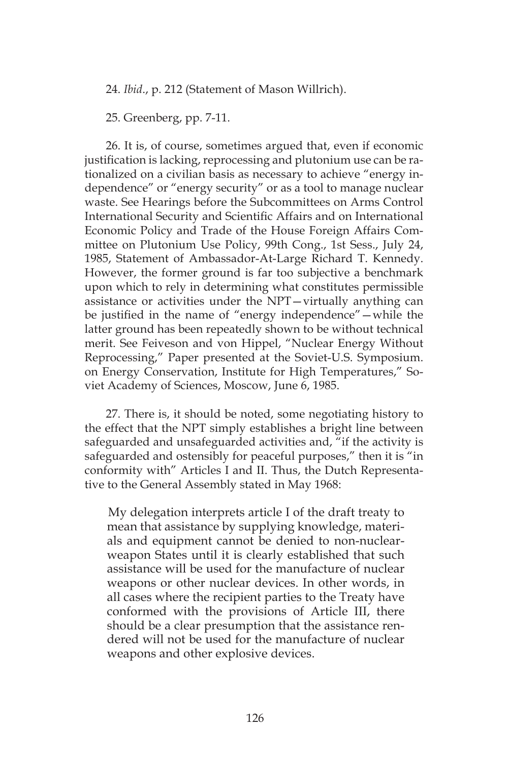24. *Ibid*., p. 212 (Statement of Mason Willrich).

25. Greenberg, pp. 7-11.

26. It is, of course, sometimes argued that, even if economic justification is lacking, reprocessing and plutonium use can be rationalized on a civilian basis as necessary to achieve "energy independence" or "energy security" or as a tool to manage nuclear waste. See Hearings before the Subcommittees on Arms Control International Security and Scientific Affairs and on International Economic Policy and Trade of the House Foreign Affairs Committee on Plutonium Use Policy, 99th Cong., 1st Sess., July 24, 1985, Statement of Ambassador-At-Large Richard T. Kennedy. However, the former ground is far too subjective a benchmark upon which to rely in determining what constitutes permissible assistance or activities under the NPT—virtually anything can be justified in the name of "energy independence"—while the latter ground has been repeatedly shown to be without technical merit. See Feiveson and von Hippel, "Nuclear Energy Without Reprocessing," Paper presented at the Soviet-U.S. Symposium. on Energy Conservation, Institute for High Temperatures," Soviet Academy of Sciences, Moscow, June 6, 1985.

27. There is, it should be noted, some negotiating history to the effect that the NPT simply establishes a bright line between safeguarded and unsafeguarded activities and, "if the activity is safeguarded and ostensibly for peaceful purposes," then it is "in conformity with" Articles I and II. Thus, the Dutch Representative to the General Assembly stated in May 1968:

My delegation interprets article I of the draft treaty to mean that assistance by supplying knowledge, materials and equipment cannot be denied to non-nuclearweapon States until it is clearly established that such assistance will be used for the manufacture of nuclear weapons or other nuclear devices. In other words, in all cases where the recipient parties to the Treaty have conformed with the provisions of Article III, there should be a clear presumption that the assistance rendered will not be used for the manufacture of nuclear weapons and other explosive devices.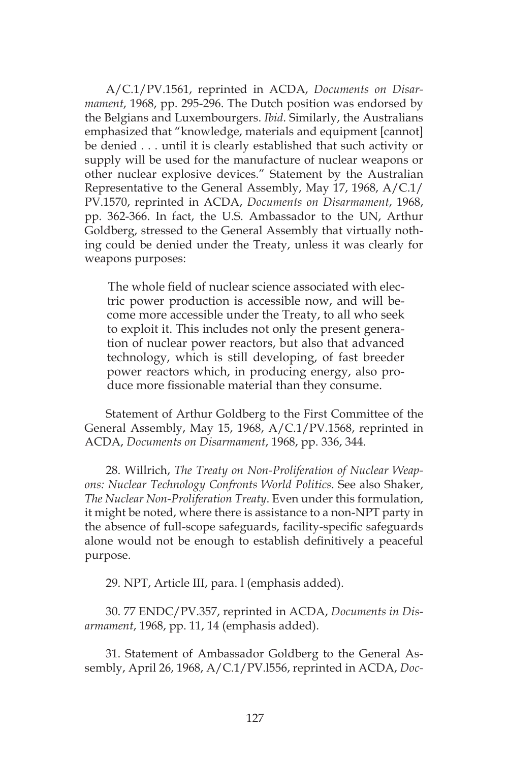A/C.1/PV.1561, reprinted in ACDA, *Documents on Disarmament*, 1968, pp. 295-296. The Dutch position was endorsed by the Belgians and Luxembourgers. *Ibid*. Similarly, the Australians emphasized that "knowledge, materials and equipment [cannot] be denied . . . until it is clearly established that such activity or supply will be used for the manufacture of nuclear weapons or other nuclear explosive devices." Statement by the Australian Representative to the General Assembly, May 17, 1968, A/C.1/ PV.1570, reprinted in ACDA, *Documents on Disarmament*, 1968, pp. 362-366. In fact, the U.S. Ambassador to the UN, Arthur Goldberg, stressed to the General Assembly that virtually nothing could be denied under the Treaty, unless it was clearly for weapons purposes:

The whole field of nuclear science associated with electric power production is accessible now, and will become more accessible under the Treaty, to all who seek to exploit it. This includes not only the present generation of nuclear power reactors, but also that advanced technology, which is still developing, of fast breeder power reactors which, in producing energy, also produce more fissionable material than they consume.

Statement of Arthur Goldberg to the First Committee of the General Assembly, May 15, 1968, A/C.1/PV.1568, reprinted in ACDA, *Documents on Disarmament*, 1968, pp. 336, 344.

28. Willrich, *The Treaty on Non-Proliferation of Nuclear Weapons: Nuclear Technology Confronts World Politics*. See also Shaker, *The Nuclear Non-Proliferation Treaty*. Even under this formulation, it might be noted, where there is assistance to a non-NPT party in the absence of full-scope safeguards, facility-specific safeguards alone would not be enough to establish definitively a peaceful purpose.

29. NPT, Article III, para. l (emphasis added).

30. 77 ENDC/PV.357, reprinted in ACDA, *Documents in Disarmament*, 1968, pp. 11, 14 (emphasis added).

31. Statement of Ambassador Goldberg to the General Assembly, April 26, 1968, A/C.1/PV.l556, reprinted in ACDA, *Doc-*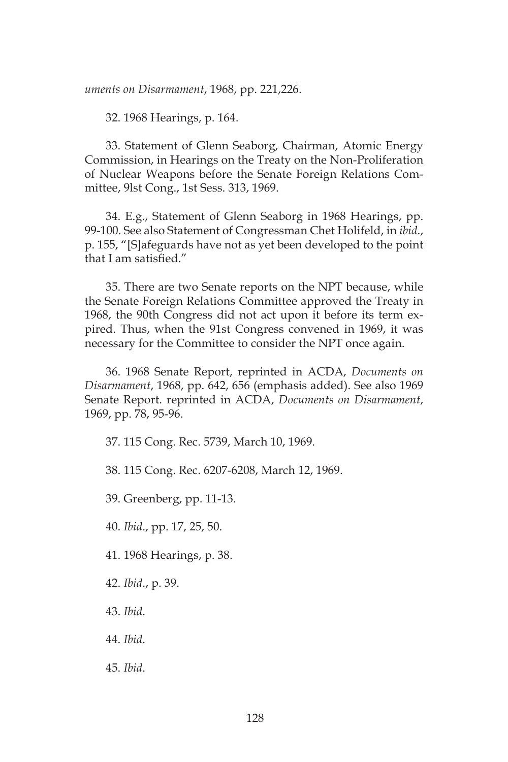*uments on Disarmament*, 1968, pp. 221,226.

32. 1968 Hearings, p. 164.

33. Statement of Glenn Seaborg, Chairman, Atomic Energy Commission, in Hearings on the Treaty on the Non-Proliferation of Nuclear Weapons before the Senate Foreign Relations Committee, 9lst Cong., 1st Sess. 313, 1969.

34. E.g., Statement of Glenn Seaborg in 1968 Hearings, pp. 99-100. See also Statement of Congressman Chet Holifeld, in *ibid*., p. 155, "[S]afeguards have not as yet been developed to the point that I am satisfied."

35. There are two Senate reports on the NPT because, while the Senate Foreign Relations Committee approved the Treaty in 1968, the 90th Congress did not act upon it before its term expired. Thus, when the 91st Congress convened in 1969, it was necessary for the Committee to consider the NPT once again.

36. 1968 Senate Report, reprinted in ACDA, *Documents on Disarmament*, 1968, pp. 642, 656 (emphasis added). See also 1969 Senate Report. reprinted in ACDA, *Documents on Disarmament*, 1969, pp. 78, 95-96.

37. 115 Cong. Rec. 5739, March 10, 1969.

38. 115 Cong. Rec. 6207-6208, March 12, 1969.

39. Greenberg, pp. 11-13.

40. *Ibid*., pp. 17, 25, 50.

41. 1968 Hearings, p. 38.

42. *Ibid*., p. 39.

43. *Ibid*.

44. *Ibid*.

45. *Ibid*.